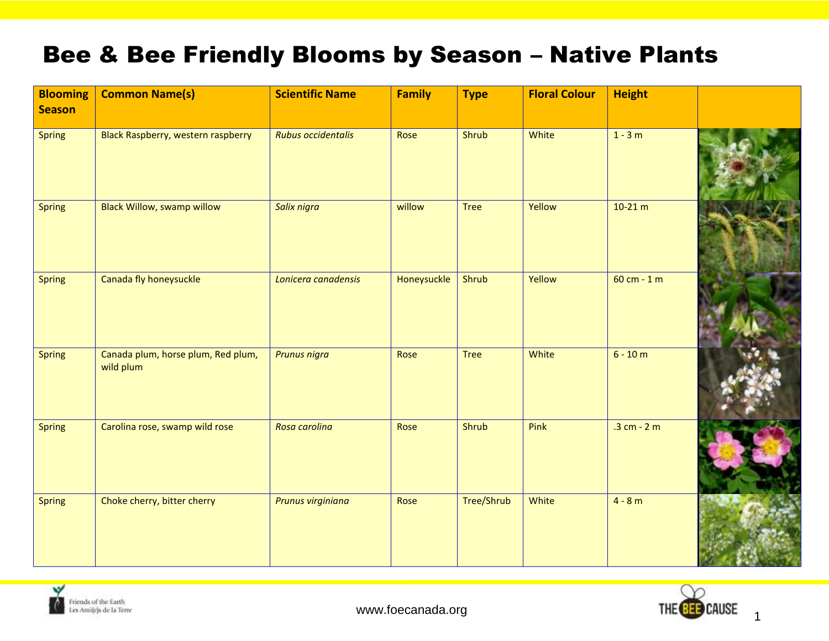## Bee & Bee Friendly Blooms by Season – Native Plants

| <b>Blooming</b><br><b>Season</b> | <b>Common Name(s)</b>                           | <b>Scientific Name</b> | <b>Family</b> | <b>Type</b> | <b>Floral Colour</b> | <b>Height</b> |  |
|----------------------------------|-------------------------------------------------|------------------------|---------------|-------------|----------------------|---------------|--|
| <b>Spring</b>                    | <b>Black Raspberry, western raspberry</b>       | Rubus occidentalis     | Rose          | Shrub       | White                | $1 - 3m$      |  |
| <b>Spring</b>                    | <b>Black Willow, swamp willow</b>               | Salix nigra            | willow        | <b>Tree</b> | Yellow               | $10-21 m$     |  |
| <b>Spring</b>                    | Canada fly honeysuckle                          | Lonicera canadensis    | Honeysuckle   | Shrub       | Yellow               | 60 cm - 1 m   |  |
| <b>Spring</b>                    | Canada plum, horse plum, Red plum,<br>wild plum | <b>Prunus nigra</b>    | Rose          | <b>Tree</b> | White                | $6 - 10 m$    |  |
| <b>Spring</b>                    | Carolina rose, swamp wild rose                  | Rosa carolina          | Rose          | Shrub       | Pink                 | $.3 cm - 2 m$ |  |
| <b>Spring</b>                    | Choke cherry, bitter cherry                     | Prunus virginiana      | Rose          | Tree/Shrub  | White                | $4 - 8 m$     |  |



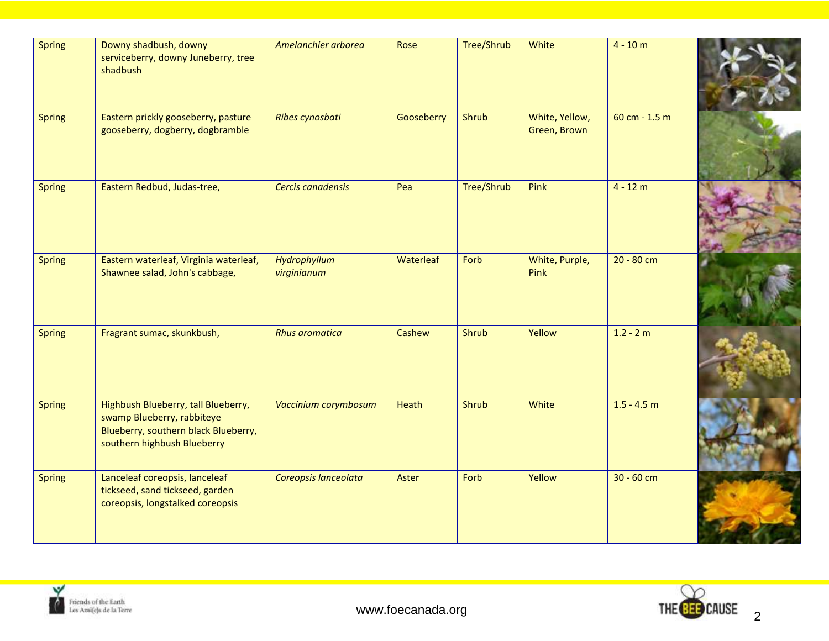| <b>Spring</b> | Downy shadbush, downy<br>serviceberry, downy Juneberry, tree<br>shadbush                                                                 | Amelanchier arborea         | Rose       | Tree/Shrub        | White                          | $4 - 10 m$      |  |
|---------------|------------------------------------------------------------------------------------------------------------------------------------------|-----------------------------|------------|-------------------|--------------------------------|-----------------|--|
| <b>Spring</b> | Eastern prickly gooseberry, pasture<br>gooseberry, dogberry, dogbramble                                                                  | Ribes cynosbati             | Gooseberry | Shrub             | White, Yellow,<br>Green, Brown | $60 cm - 1.5 m$ |  |
| <b>Spring</b> | Eastern Redbud, Judas-tree,                                                                                                              | Cercis canadensis           | Pea        | <b>Tree/Shrub</b> | Pink                           | $4 - 12 m$      |  |
| <b>Spring</b> | Eastern waterleaf, Virginia waterleaf,<br>Shawnee salad, John's cabbage,                                                                 | Hydrophyllum<br>virginianum | Waterleaf  | Forb              | White, Purple,<br>Pink         | $20 - 80$ cm    |  |
| <b>Spring</b> | Fragrant sumac, skunkbush,                                                                                                               | <b>Rhus aromatica</b>       | Cashew     | Shrub             | Yellow                         | $1.2 - 2 m$     |  |
| <b>Spring</b> | Highbush Blueberry, tall Blueberry,<br>swamp Blueberry, rabbiteye<br>Blueberry, southern black Blueberry,<br>southern highbush Blueberry | Vaccinium corymbosum        | Heath      | Shrub             | White                          | $1.5 - 4.5$ m   |  |
| <b>Spring</b> | Lanceleaf coreopsis, lanceleaf<br>tickseed, sand tickseed, garden<br>coreopsis, longstalked coreopsis                                    | Coreopsis lanceolata        | Aster      | Forb              | Yellow                         | $30 - 60$ cm    |  |



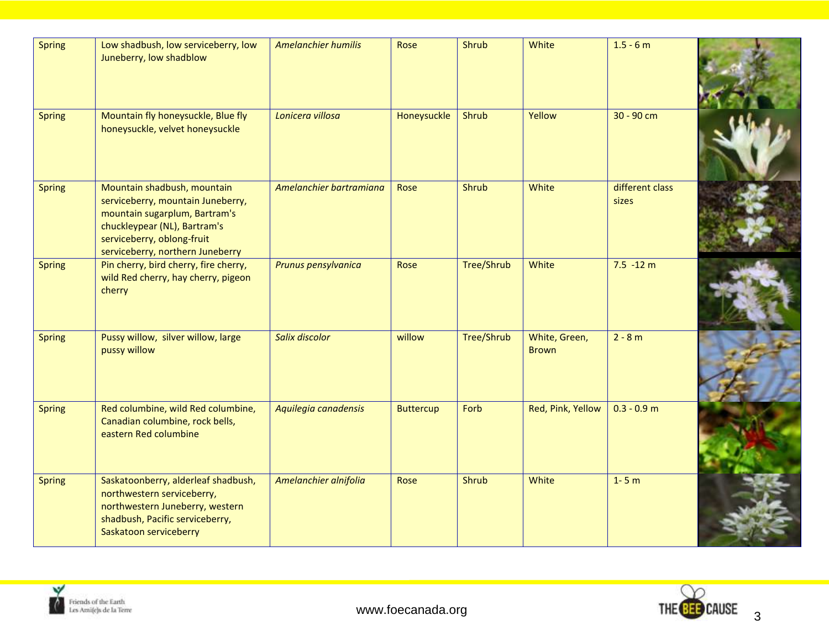| <b>Spring</b> | Low shadbush, low serviceberry, low<br>Juneberry, low shadblow                                                                                                                                      | <b>Amelanchier humilis</b> | Rose             | Shrub             | White                         | $1.5 - 6 m$              |  |
|---------------|-----------------------------------------------------------------------------------------------------------------------------------------------------------------------------------------------------|----------------------------|------------------|-------------------|-------------------------------|--------------------------|--|
| <b>Spring</b> | Mountain fly honeysuckle, Blue fly<br>honeysuckle, velvet honeysuckle                                                                                                                               | Lonicera villosa           | Honeysuckle      | Shrub             | Yellow                        | 30 - 90 cm               |  |
| <b>Spring</b> | Mountain shadbush, mountain<br>serviceberry, mountain Juneberry,<br>mountain sugarplum, Bartram's<br>chuckleypear (NL), Bartram's<br>serviceberry, oblong-fruit<br>serviceberry, northern Juneberry | Amelanchier bartramiana    | Rose             | Shrub             | White                         | different class<br>sizes |  |
| <b>Spring</b> | Pin cherry, bird cherry, fire cherry,<br>wild Red cherry, hay cherry, pigeon<br>cherry                                                                                                              | Prunus pensylvanica        | Rose             | <b>Tree/Shrub</b> | White                         | $7.5 - 12 m$             |  |
| <b>Spring</b> | Pussy willow, silver willow, large<br>pussy willow                                                                                                                                                  | <b>Salix discolor</b>      | willow           | <b>Tree/Shrub</b> | White, Green,<br><b>Brown</b> | $2 - 8 m$                |  |
| <b>Spring</b> | Red columbine, wild Red columbine,<br>Canadian columbine, rock bells,<br>eastern Red columbine                                                                                                      | Aquilegia canadensis       | <b>Buttercup</b> | Forb              | Red, Pink, Yellow             | $0.3 - 0.9$ m            |  |
| <b>Spring</b> | Saskatoonberry, alderleaf shadbush,<br>northwestern serviceberry,<br>northwestern Juneberry, western<br>shadbush, Pacific serviceberry,<br>Saskatoon serviceberry                                   | Amelanchier alnifolia      | Rose             | Shrub             | White                         | $1 - 5m$                 |  |

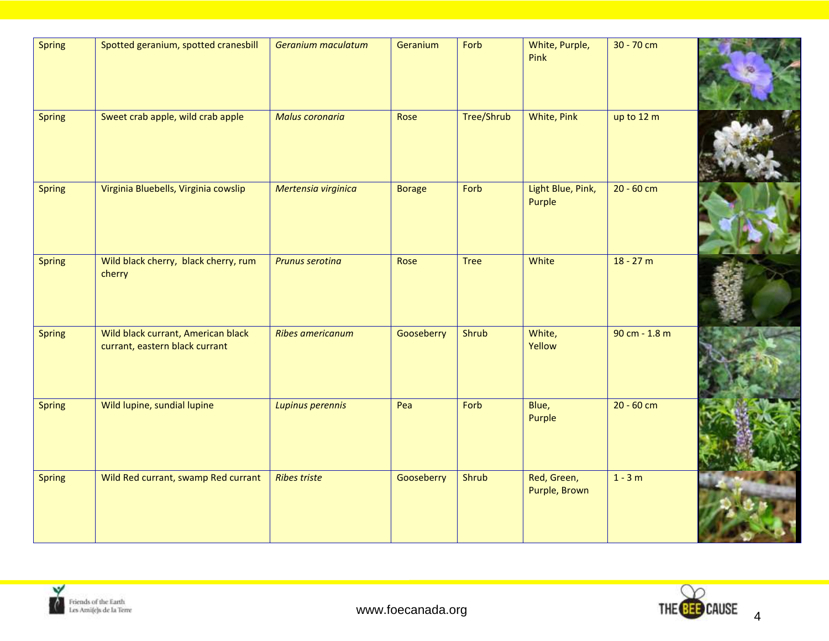| <b>Spring</b> | Spotted geranium, spotted cranesbill                                 | Geranium maculatum      | Geranium      | Forb        | White, Purple,<br>Pink       | 30 - 70 cm    |  |
|---------------|----------------------------------------------------------------------|-------------------------|---------------|-------------|------------------------------|---------------|--|
| <b>Spring</b> | Sweet crab apple, wild crab apple                                    | Malus coronaria         | Rose          | Tree/Shrub  | White, Pink                  | up to 12 m    |  |
| <b>Spring</b> | Virginia Bluebells, Virginia cowslip                                 | Mertensia virginica     | <b>Borage</b> | Forb        | Light Blue, Pink,<br>Purple  | $20 - 60$ cm  |  |
| <b>Spring</b> | Wild black cherry, black cherry, rum<br>cherry                       | <b>Prunus serotina</b>  | Rose          | <b>Tree</b> | White                        | $18 - 27 m$   |  |
| <b>Spring</b> | Wild black currant, American black<br>currant, eastern black currant | <b>Ribes americanum</b> | Gooseberry    | Shrub       | White,<br>Yellow             | 90 cm - 1.8 m |  |
| <b>Spring</b> | Wild lupine, sundial lupine                                          | Lupinus perennis        | Pea           | Forb        | Blue,<br>Purple              | $20 - 60$ cm  |  |
| <b>Spring</b> | Wild Red currant, swamp Red currant                                  | <b>Ribes triste</b>     | Gooseberry    | Shrub       | Red, Green,<br>Purple, Brown | $1 - 3m$      |  |



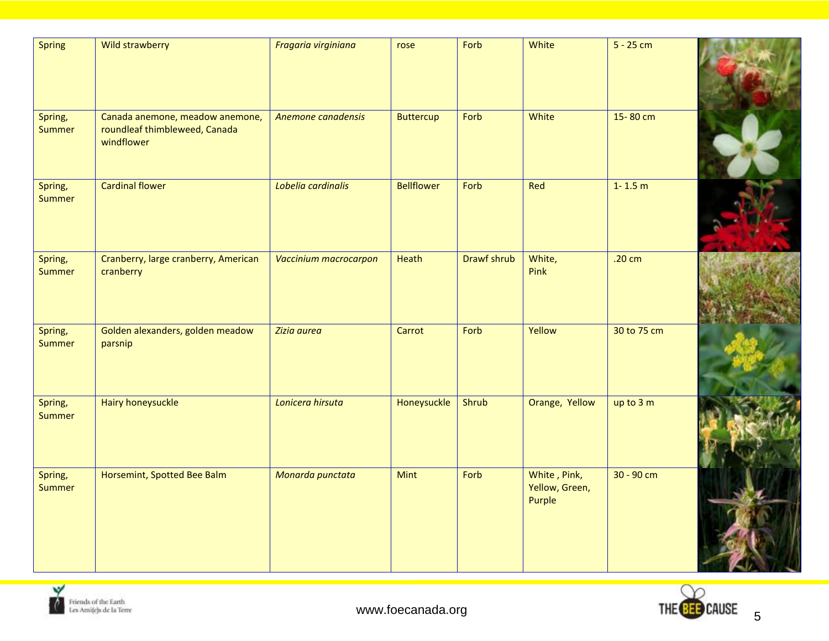| <b>Spring</b>            | Wild strawberry                                                                | Fragaria virginiana   | rose              | Forb        | White                                    | $5 - 25$ cm  |  |
|--------------------------|--------------------------------------------------------------------------------|-----------------------|-------------------|-------------|------------------------------------------|--------------|--|
| Spring,<br><b>Summer</b> | Canada anemone, meadow anemone,<br>roundleaf thimbleweed, Canada<br>windflower | Anemone canadensis    | <b>Buttercup</b>  | Forb        | White                                    | 15-80 cm     |  |
| Spring,<br><b>Summer</b> | <b>Cardinal flower</b>                                                         | Lobelia cardinalis    | <b>Bellflower</b> | Forb        | Red                                      | $1 - 1.5$ m  |  |
| Spring,<br><b>Summer</b> | Cranberry, large cranberry, American<br>cranberry                              | Vaccinium macrocarpon | Heath             | Drawf shrub | White,<br>Pink                           | .20 cm       |  |
| Spring,<br><b>Summer</b> | Golden alexanders, golden meadow<br>parsnip                                    | Zizia aurea           | Carrot            | Forb        | Yellow                                   | 30 to 75 cm  |  |
| Spring,<br><b>Summer</b> | <b>Hairy honeysuckle</b>                                                       | Lonicera hirsuta      | Honeysuckle       | Shrub       | Orange, Yellow                           | up to 3 m    |  |
| Spring,<br><b>Summer</b> | Horsemint, Spotted Bee Balm                                                    | Monarda punctata      | <b>Mint</b>       | Forb        | White, Pink,<br>Yellow, Green,<br>Purple | $30 - 90$ cm |  |



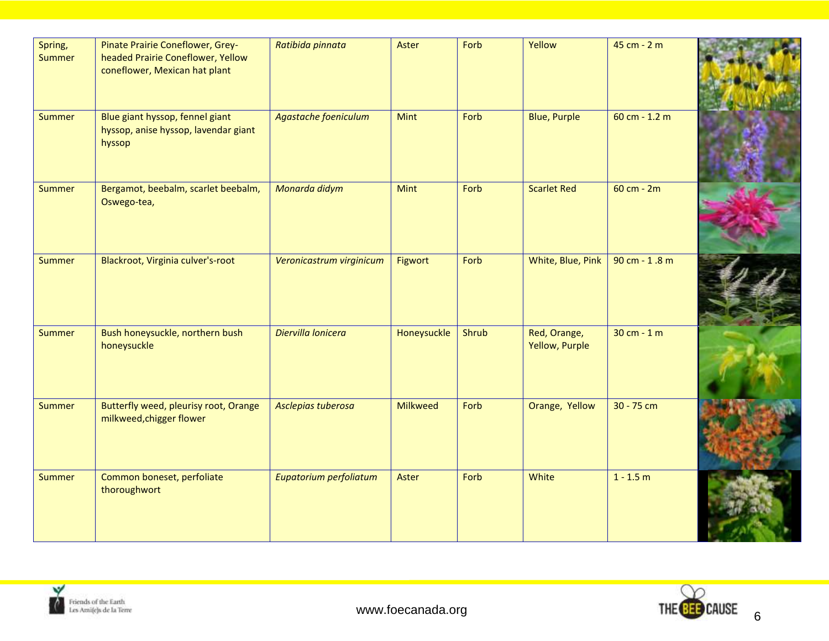| Spring,<br>Summer | Pinate Prairie Coneflower, Grey-<br>headed Prairie Coneflower, Yellow<br>coneflower, Mexican hat plant | Ratibida pinnata         | Aster       | Forb  | Yellow                         | 45 cm - 2 m     |  |
|-------------------|--------------------------------------------------------------------------------------------------------|--------------------------|-------------|-------|--------------------------------|-----------------|--|
| <b>Summer</b>     | Blue giant hyssop, fennel giant<br>hyssop, anise hyssop, lavendar giant<br>hyssop                      | Agastache foeniculum     | <b>Mint</b> | Forb  | <b>Blue, Purple</b>            | $60 cm - 1.2 m$ |  |
| <b>Summer</b>     | Bergamot, beebalm, scarlet beebalm,<br>Oswego-tea,                                                     | Monarda didym            | Mint        | Forb  | <b>Scarlet Red</b>             | 60 cm - 2m      |  |
| <b>Summer</b>     | Blackroot, Virginia culver's-root                                                                      | Veronicastrum virginicum | Figwort     | Forb  | White, Blue, Pink              | 90 cm - 1.8 m   |  |
| <b>Summer</b>     | Bush honeysuckle, northern bush<br>honeysuckle                                                         | Diervilla lonicera       | Honeysuckle | Shrub | Red, Orange,<br>Yellow, Purple | $30 cm - 1 m$   |  |
| <b>Summer</b>     | Butterfly weed, pleurisy root, Orange<br>milkweed, chigger flower                                      | Asclepias tuberosa       | Milkweed    | Forb  | Orange, Yellow                 | 30 - 75 cm      |  |
| <b>Summer</b>     | Common boneset, perfoliate<br>thoroughwort                                                             | Eupatorium perfoliatum   | Aster       | Forb  | White                          | $1 - 1.5 m$     |  |



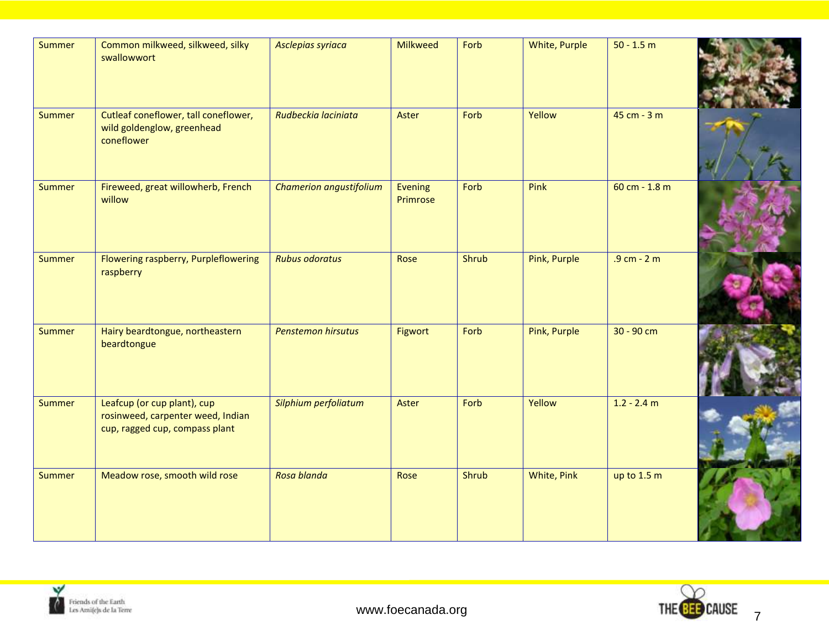| Summer        | Common milkweed, silkweed, silky<br>swallowwort                                                    | Asclepias syriaca         | Milkweed            | Forb  | White, Purple | $50 - 1.5 m$    |  |
|---------------|----------------------------------------------------------------------------------------------------|---------------------------|---------------------|-------|---------------|-----------------|--|
| Summer        | Cutleaf coneflower, tall coneflower,<br>wild goldenglow, greenhead<br>coneflower                   | Rudbeckia laciniata       | Aster               | Forb  | Yellow        | 45 cm - 3 m     |  |
| <b>Summer</b> | Fireweed, great willowherb, French<br>willow                                                       | Chamerion angustifolium   | Evening<br>Primrose | Forb  | Pink          | $60 cm - 1.8 m$ |  |
| <b>Summer</b> | Flowering raspberry, Purpleflowering<br>raspberry                                                  | <b>Rubus odoratus</b>     | Rose                | Shrub | Pink, Purple  | $.9 cm - 2 m$   |  |
| <b>Summer</b> | Hairy beardtongue, northeastern<br>beardtongue                                                     | <b>Penstemon hirsutus</b> | Figwort             | Forb  | Pink, Purple  | 30 - 90 cm      |  |
| Summer        | Leafcup (or cup plant), cup<br>rosinweed, carpenter weed, Indian<br>cup, ragged cup, compass plant | Silphium perfoliatum      | Aster               | Forb  | Yellow        | $1.2 - 2.4$ m   |  |
| Summer        | Meadow rose, smooth wild rose                                                                      | Rosa blanda               | Rose                | Shrub | White, Pink   | up to $1.5 m$   |  |



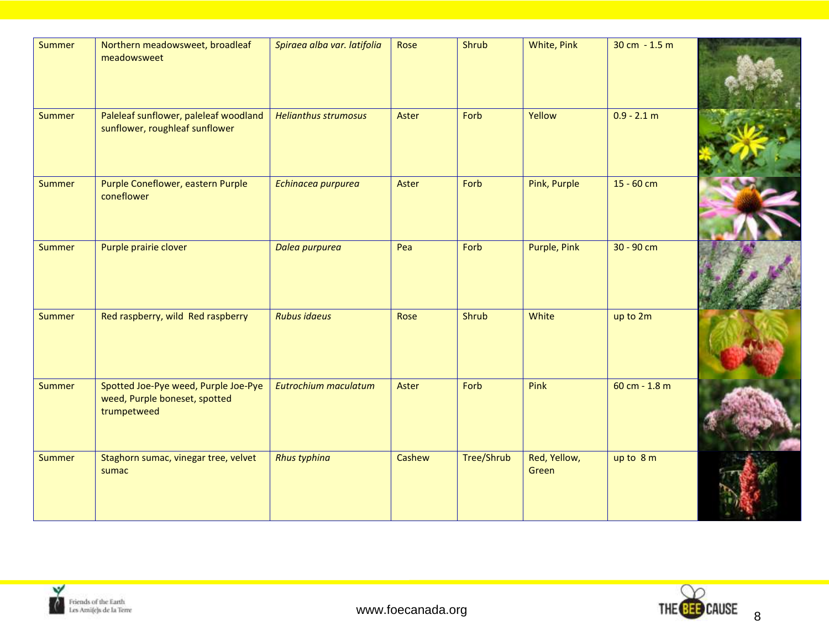| Summer | Northern meadowsweet, broadleaf<br>meadowsweet                                       | Spiraea alba var. latifolia | Rose   | Shrub      | White, Pink           | 30 cm $-1.5$ m  |  |
|--------|--------------------------------------------------------------------------------------|-----------------------------|--------|------------|-----------------------|-----------------|--|
| Summer | Paleleaf sunflower, paleleaf woodland<br>sunflower, roughleaf sunflower              | <b>Helianthus strumosus</b> | Aster  | Forb       | Yellow                | $0.9 - 2.1 m$   |  |
| Summer | Purple Coneflower, eastern Purple<br>coneflower                                      | Echinacea purpurea          | Aster  | Forb       | Pink, Purple          | $15 - 60$ cm    |  |
| Summer | Purple prairie clover                                                                | Dalea purpurea              | Pea    | Forb       | Purple, Pink          | 30 - 90 cm      |  |
| Summer | Red raspberry, wild Red raspberry                                                    | <b>Rubus idaeus</b>         | Rose   | Shrub      | White                 | up to 2m        |  |
| Summer | Spotted Joe-Pye weed, Purple Joe-Pye<br>weed, Purple boneset, spotted<br>trumpetweed | Eutrochium maculatum        | Aster  | Forb       | Pink                  | $60 cm - 1.8 m$ |  |
| Summer | Staghorn sumac, vinegar tree, velvet<br>sumac                                        | <b>Rhus typhina</b>         | Cashew | Tree/Shrub | Red, Yellow,<br>Green | up to $8m$      |  |

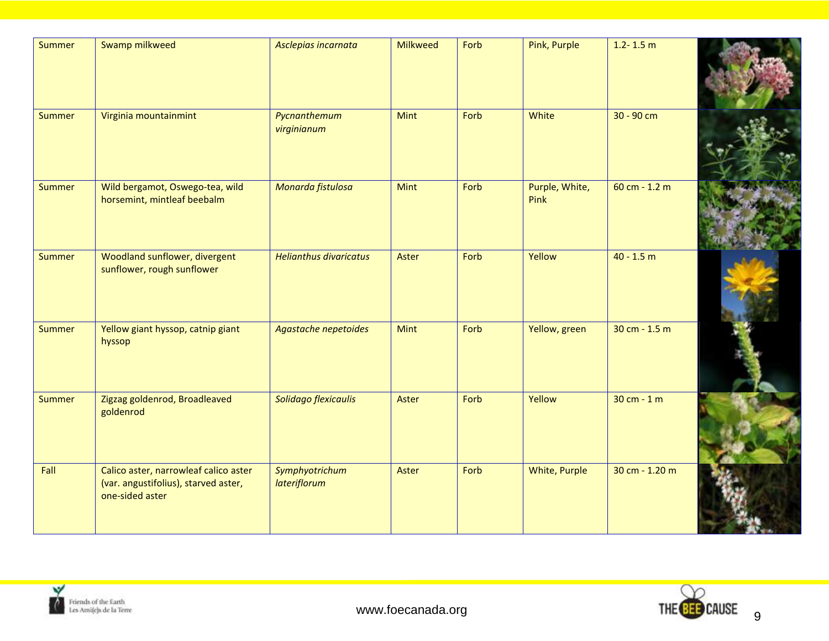| <b>Summer</b> | Swamp milkweed                                                                                   | Asclepias incarnata            | <b>Milkweed</b> | Forb | Pink, Purple           | $1.2 - 1.5$ m    |  |
|---------------|--------------------------------------------------------------------------------------------------|--------------------------------|-----------------|------|------------------------|------------------|--|
| <b>Summer</b> | Virginia mountainmint                                                                            | Pycnanthemum<br>virginianum    | <b>Mint</b>     | Forb | White                  | $30 - 90$ cm     |  |
| <b>Summer</b> | Wild bergamot, Oswego-tea, wild<br>horsemint, mintleaf beebalm                                   | Monarda fistulosa              | <b>Mint</b>     | Forb | Purple, White,<br>Pink | $60 cm - 1.2 m$  |  |
| <b>Summer</b> | Woodland sunflower, divergent<br>sunflower, rough sunflower                                      | <b>Helianthus divaricatus</b>  | Aster           | Forb | Yellow                 | $40 - 1.5 m$     |  |
| <b>Summer</b> | Yellow giant hyssop, catnip giant<br>hyssop                                                      | Agastache nepetoides           | <b>Mint</b>     | Forb | Yellow, green          | 30 cm - $1.5$ m  |  |
| <b>Summer</b> | Zigzag goldenrod, Broadleaved<br>goldenrod                                                       | Solidago flexicaulis           | Aster           | Forb | Yellow                 | $30 cm - 1 m$    |  |
| Fall          | Calico aster, narrowleaf calico aster<br>(var. angustifolius), starved aster,<br>one-sided aster | Symphyotrichum<br>lateriflorum | Aster           | Forb | White, Purple          | $30 cm - 1.20 m$ |  |



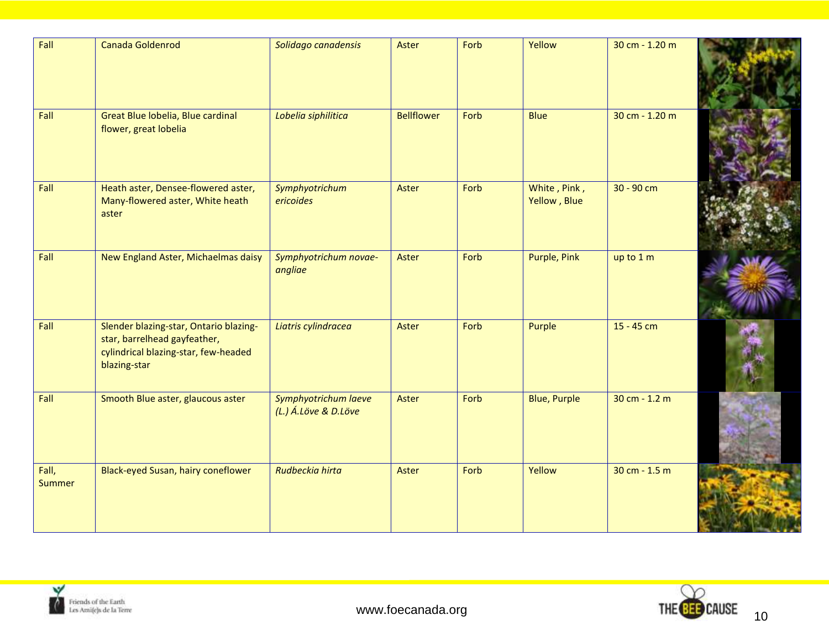| Fall                   | <b>Canada Goldenrod</b>                                                                                                        | Solidago canadensis                          | Aster             | Forb | Yellow                       | 30 cm - 1.20 m  |  |
|------------------------|--------------------------------------------------------------------------------------------------------------------------------|----------------------------------------------|-------------------|------|------------------------------|-----------------|--|
| Fall                   | Great Blue lobelia, Blue cardinal<br>flower, great lobelia                                                                     | Lobelia siphilitica                          | <b>Bellflower</b> | Forb | <b>Blue</b>                  | 30 cm - 1.20 m  |  |
| Fall                   | Heath aster, Densee-flowered aster,<br>Many-flowered aster, White heath<br>aster                                               | Symphyotrichum<br>ericoides                  | Aster             | Forb | White, Pink,<br>Yellow, Blue | 30 - 90 cm      |  |
| Fall                   | New England Aster, Michaelmas daisy                                                                                            | Symphyotrichum novae-<br>angliae             | Aster             | Forb | Purple, Pink                 | up to 1 m       |  |
| Fall                   | Slender blazing-star, Ontario blazing-<br>star, barrelhead gayfeather,<br>cylindrical blazing-star, few-headed<br>blazing-star | Liatris cylindracea                          | Aster             | Forb | Purple                       | 15 - 45 cm      |  |
| Fall                   | Smooth Blue aster, glaucous aster                                                                                              | Symphyotrichum laeve<br>(L.) Á.Löve & D.Löve | Aster             | Forb | <b>Blue, Purple</b>          | 30 cm - $1.2$ m |  |
| Fall,<br><b>Summer</b> | Black-eyed Susan, hairy coneflower                                                                                             | Rudbeckia hirta                              | Aster             | Forb | Yellow                       | 30 cm - $1.5$ m |  |



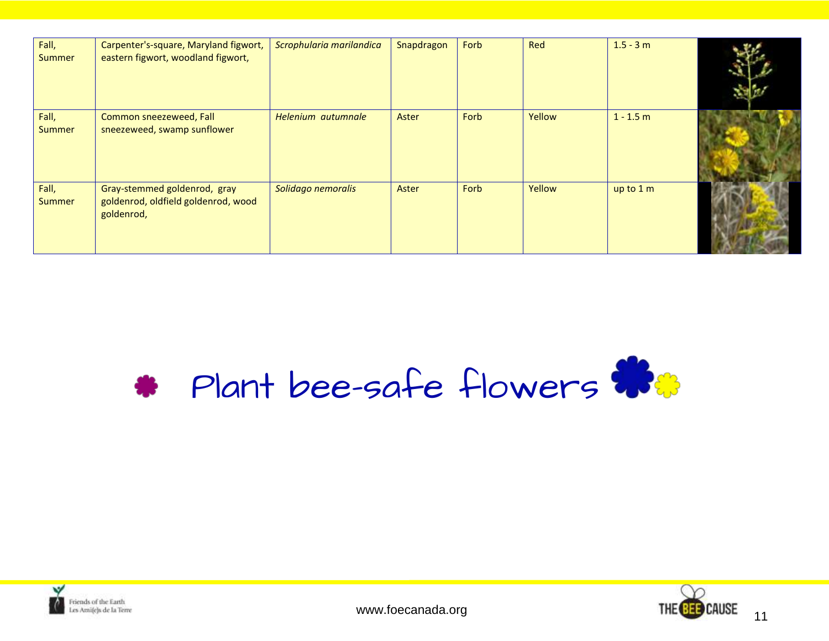| Fall,<br><b>Summer</b> | Carpenter's-square, Maryland figwort,<br>eastern figwort, woodland figwort,       | Scrophularia marilandica | Snapdragon | Forb | Red    | $1.5 - 3 m$ |  |
|------------------------|-----------------------------------------------------------------------------------|--------------------------|------------|------|--------|-------------|--|
| Fall,<br><b>Summer</b> | Common sneezeweed, Fall<br>sneezeweed, swamp sunflower                            | Helenium autumnale       | Aster      | Forb | Yellow | $1 - 1.5$ m |  |
| Fall,<br><b>Summer</b> | Gray-stemmed goldenrod, gray<br>goldenrod, oldfield goldenrod, wood<br>goldenrod, | Solidago nemoralis       | Aster      | Forb | Yellow | up to 1 m   |  |